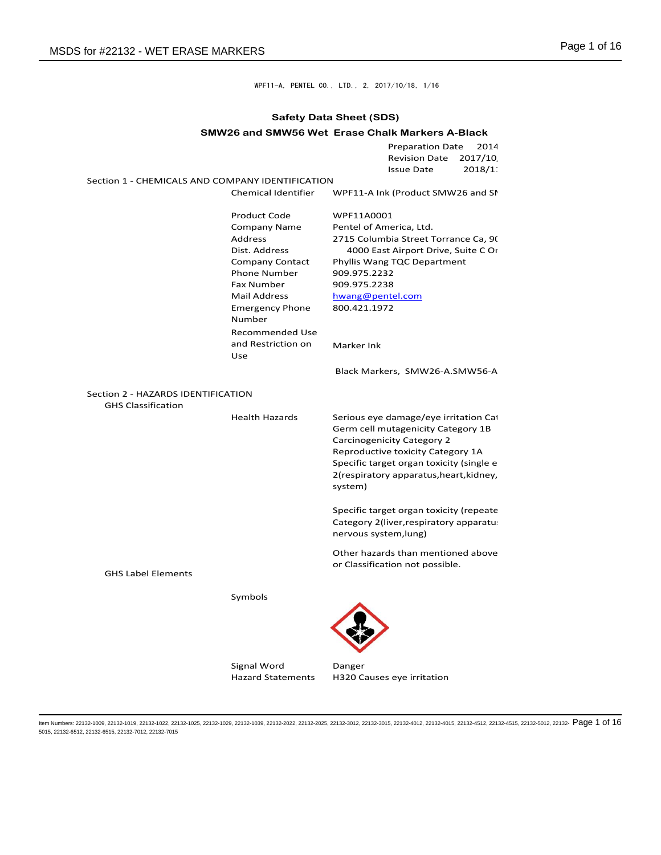WPF11-A, PENTEL CO., LTD., 2, 2017/10/18, 1/16

## **Safety Data Sheet (SDS)**

|  |  | SMW26 and SMW56 Wet Erase Chalk Markers A-Black |
|--|--|-------------------------------------------------|
|--|--|-------------------------------------------------|

|                                                  |                           | <b>Preparation Date</b><br>2014<br>2017/10<br><b>Revision Date</b><br>2018/1<br><b>Issue Date</b> |
|--------------------------------------------------|---------------------------|---------------------------------------------------------------------------------------------------|
| Section 1 - CHEMICALS AND COMPANY IDENTIFICATION |                           |                                                                                                   |
|                                                  | Chemical Identifier       | WPF11-A Ink (Product SMW26 and SI                                                                 |
|                                                  | <b>Product Code</b>       | WPF11A0001                                                                                        |
|                                                  | Company Name              | Pentel of America, Ltd.                                                                           |
|                                                  | <b>Address</b>            | 2715 Columbia Street Torrance Ca, 9(                                                              |
|                                                  | Dist. Address             | 4000 East Airport Drive, Suite C Or                                                               |
|                                                  | Company Contact           | Phyllis Wang TQC Department                                                                       |
|                                                  | <b>Phone Number</b>       | 909.975.2232                                                                                      |
|                                                  | <b>Fax Number</b>         | 909.975.2238                                                                                      |
|                                                  | <b>Mail Address</b>       | hwang@pentel.com                                                                                  |
|                                                  | <b>Emergency Phone</b>    | 800.421.1972                                                                                      |
|                                                  | Number                    |                                                                                                   |
|                                                  | Recommended Use           |                                                                                                   |
|                                                  | and Restriction on<br>Use | Marker Ink                                                                                        |
|                                                  |                           | Black Markers, SMW26-A.SMW56-A                                                                    |
| Section 2 - HAZARDS IDENTIFICATION               |                           |                                                                                                   |
| <b>GHS Classification</b>                        |                           |                                                                                                   |
|                                                  | <b>Health Hazards</b>     | Serious eye damage/eye irritation Cat                                                             |
|                                                  |                           | Germ cell mutagenicity Category 1B                                                                |
|                                                  |                           | Carcinogenicity Category 2                                                                        |
|                                                  |                           | Reproductive toxicity Category 1A                                                                 |
|                                                  |                           | Specific target organ toxicity (single e                                                          |
|                                                  |                           | 2(respiratory apparatus, heart, kidney,                                                           |
|                                                  |                           | system)                                                                                           |
|                                                  |                           |                                                                                                   |
|                                                  |                           | Specific target organ toxicity (repeate                                                           |
|                                                  |                           | Category 2(liver, respiratory apparatu.                                                           |
|                                                  |                           | nervous system, lung)                                                                             |
|                                                  |                           | Other hazards than mentioned above                                                                |
|                                                  |                           | or Classification not possible.                                                                   |
| <b>GHS Label Elements</b>                        |                           |                                                                                                   |
|                                                  |                           |                                                                                                   |
|                                                  | Symbols                   |                                                                                                   |
|                                                  |                           |                                                                                                   |
|                                                  |                           |                                                                                                   |
|                                                  |                           |                                                                                                   |
|                                                  |                           |                                                                                                   |
|                                                  | Signal Word               | Danger                                                                                            |
|                                                  |                           |                                                                                                   |

ltem Numbers: 22132-1009, 22132-1019, 22132-1022, 22132-1025, 22132-1029, 22132-1039, 22132-2022, 22132-2025, 22132-3012, 22132-4010, 22132-4012, 22132-4015, 22132-4512, 22132-4515, 22132-5012, 22132-  $\mathsf{P}$  Of  $16$ 5015, 22132-6512, 22132-6515, 22132-7012, 22132-7015

Hazard Statements H320 Causes eye irritation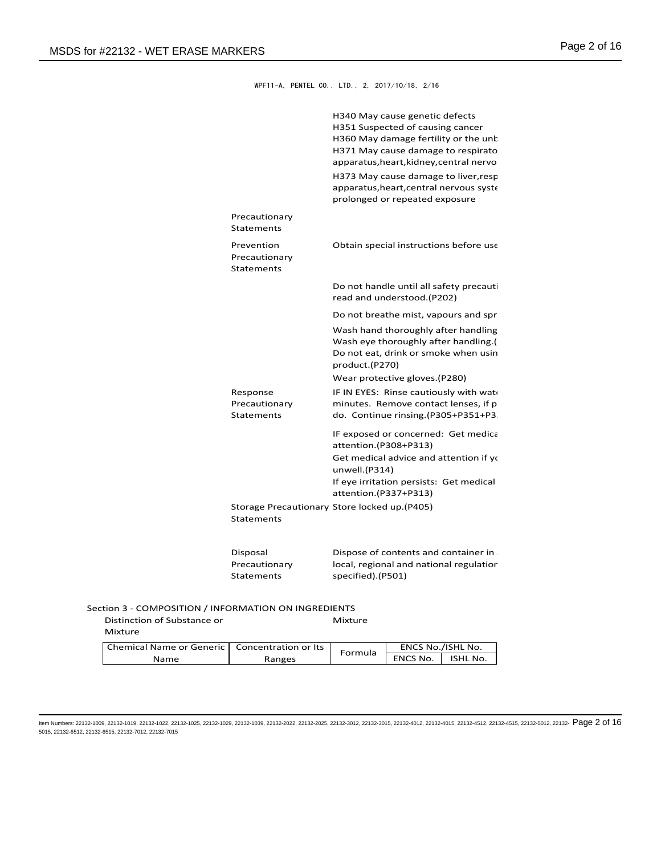WPF11-A, PENTEL CO., LTD., 2, 2017/10/18, 2/16

|                                                      | H340 May cause genetic defects<br>H351 Suspected of causing cancer<br>H360 May damage fertility or the unk<br>H371 May cause damage to respirato<br>apparatus, heart, kidney, central nervo |
|------------------------------------------------------|---------------------------------------------------------------------------------------------------------------------------------------------------------------------------------------------|
|                                                      | H373 May cause damage to liver, resp<br>apparatus, heart, central nervous syste<br>prolonged or repeated exposure                                                                           |
| Precautionary<br>Statements                          |                                                                                                                                                                                             |
| Prevention<br>Precautionary<br>Statements            | Obtain special instructions before use                                                                                                                                                      |
|                                                      | Do not handle until all safety precauti<br>read and understood.(P202)                                                                                                                       |
|                                                      | Do not breathe mist, vapours and spr                                                                                                                                                        |
|                                                      | Wash hand thoroughly after handling<br>Wash eye thoroughly after handling.(<br>Do not eat, drink or smoke when usin<br>product.(P270)                                                       |
|                                                      | Wear protective gloves. (P280)                                                                                                                                                              |
| Response<br>Precautionary<br>Statements              | IF IN EYES: Rinse cautiously with wat<br>minutes. Remove contact lenses, if p<br>do. Continue rinsing.(P305+P351+P3.                                                                        |
|                                                      | IF exposed or concerned: Get medica<br>attention.(P308+P313)                                                                                                                                |
|                                                      | Get medical advice and attention if yo<br>unwell.(P314)                                                                                                                                     |
|                                                      | If eye irritation persists: Get medical<br>attention.(P337+P313)                                                                                                                            |
| Statements                                           | Storage Precautionary Store locked up.(P405)                                                                                                                                                |
| Disposal<br>Precautionary<br><b>Statements</b>       | Dispose of contents and container in<br>local, regional and national regulatior<br>specified).(P501)                                                                                        |
| Section 3 - COMPOSITION / INFORMATION ON INGREDIENTS |                                                                                                                                                                                             |
| Distinction of Substance or                          | Mixture                                                                                                                                                                                     |

Mixture

| Chemical Name or Generic   Concentration or Its |        | Formula | ENCS No./ISHL No. |          |
|-------------------------------------------------|--------|---------|-------------------|----------|
| Name                                            | Ranges |         | <b>ENCS No.</b>   | ISHL No. |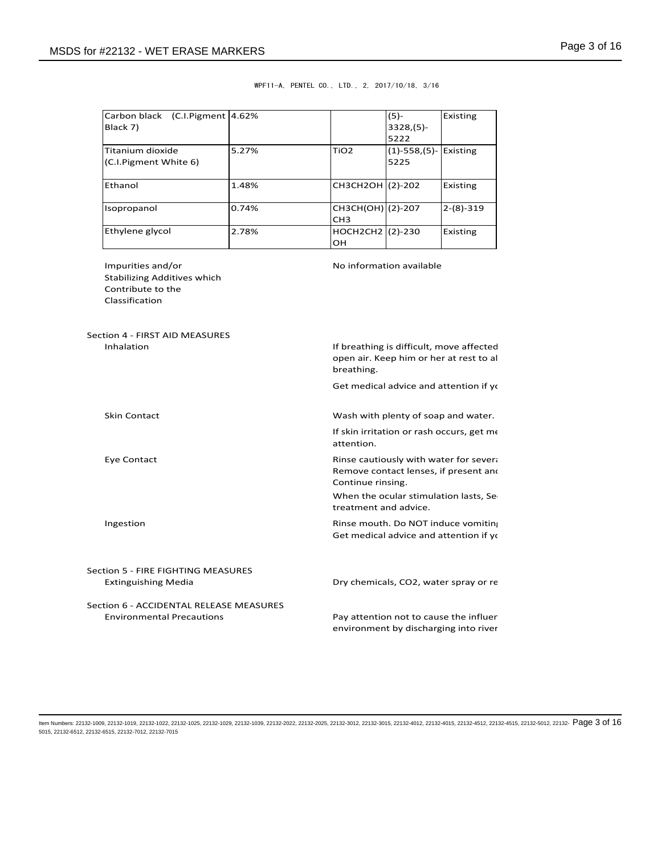| Carbon black (C.I.Pigment 4.62%<br>Black 7)                                                    |       |                                            | $(5)-$<br>$3328(5)-$<br>5222                                                                                             | Existing    |
|------------------------------------------------------------------------------------------------|-------|--------------------------------------------|--------------------------------------------------------------------------------------------------------------------------|-------------|
| Titanium dioxide<br>(C.I.Pigment White 6)                                                      | 5.27% | TiO <sub>2</sub>                           | $(1)$ -558, (5)- Existing<br>5225                                                                                        |             |
| Ethanol                                                                                        | 1.48% | CH3CH2OH (2)-202                           |                                                                                                                          | Existing    |
| Isopropanol                                                                                    | 0.74% | CH3CH(OH) (2)-207<br>CH <sub>3</sub>       |                                                                                                                          | $2-(8)-319$ |
| Ethylene glycol                                                                                | 2.78% | HOCH2CH2 (2)-230<br>OН                     |                                                                                                                          | Existing    |
| Impurities and/or<br><b>Stabilizing Additives which</b><br>Contribute to the<br>Classification |       |                                            | No information available                                                                                                 |             |
| Section 4 - FIRST AID MEASURES<br>Inhalation                                                   |       | breathing.                                 | If breathing is difficult, move affected<br>open air. Keep him or her at rest to al                                      |             |
|                                                                                                |       |                                            | Get medical advice and attention if yo                                                                                   |             |
| <b>Skin Contact</b>                                                                            |       |                                            | Wash with plenty of soap and water.                                                                                      |             |
|                                                                                                |       | attention.                                 | If skin irritation or rash occurs, get me                                                                                |             |
| Eye Contact                                                                                    |       | Continue rinsing.<br>treatment and advice. | Rinse cautiously with water for severa<br>Remove contact lenses, if present and<br>When the ocular stimulation lasts, Se |             |
| Ingestion                                                                                      |       |                                            | Rinse mouth. Do NOT induce vomiting<br>Get medical advice and attention if yo                                            |             |
| Section 5 - FIRE FIGHTING MEASURES                                                             |       |                                            |                                                                                                                          |             |
| Extinguishing Media                                                                            |       |                                            | Dry chemicals, CO2, water spray or re                                                                                    |             |

## WPF11-A, PENTEL CO., LTD., 2, 2017/10/18, 3/16

Section 6 - ACCIDENTAL RELEASE MEASURES Environmental Precautions

Pay attention not to cause the influer environment by discharging into river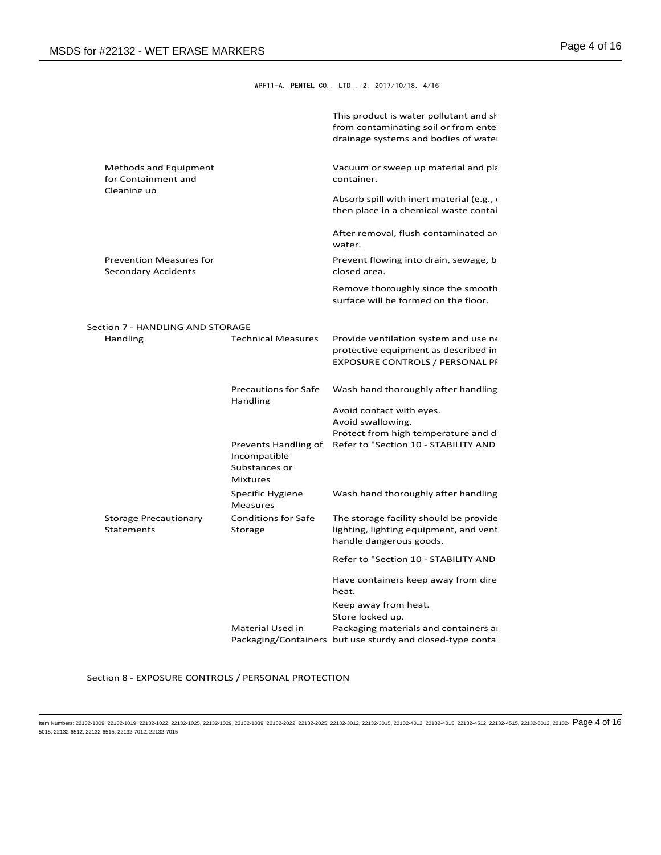WPF11-A, PENTEL CO., LTD., 2, 2017/10/18, 4/16

|                                                       |                                                  | This product is water pollutant and sh<br>from contaminating soil or from ente<br>drainage systems and bodies of wate   |  |
|-------------------------------------------------------|--------------------------------------------------|-------------------------------------------------------------------------------------------------------------------------|--|
| Methods and Equipment<br>for Containment and          |                                                  | Vacuum or sweep up material and pla<br>container.                                                                       |  |
| Cleaning un                                           |                                                  | Absorb spill with inert material (e.g.,<br>then place in a chemical waste contai                                        |  |
|                                                       |                                                  | After removal, flush contaminated an<br>water.                                                                          |  |
| <b>Prevention Measures for</b><br>Secondary Accidents |                                                  | Prevent flowing into drain, sewage, b<br>closed area.                                                                   |  |
|                                                       |                                                  | Remove thoroughly since the smooth<br>surface will be formed on the floor.                                              |  |
| Section 7 - HANDLING AND STORAGE                      |                                                  |                                                                                                                         |  |
| Handling                                              | <b>Technical Measures</b>                        | Provide ventilation system and use ne<br>protective equipment as described in<br><b>EXPOSURE CONTROLS / PERSONAL PI</b> |  |
|                                                       | <b>Precautions for Safe</b><br>Handling          | Wash hand thoroughly after handling                                                                                     |  |
|                                                       |                                                  | Avoid contact with eyes.<br>Avoid swallowing.                                                                           |  |
|                                                       | Incompatible<br>Substances or<br><b>Mixtures</b> | Protect from high temperature and d<br>Prevents Handling of Refer to "Section 10 - STABILITY AND                        |  |
|                                                       | Specific Hygiene<br><b>Measures</b>              | Wash hand thoroughly after handling                                                                                     |  |
| <b>Storage Precautionary</b><br><b>Statements</b>     | <b>Conditions for Safe</b><br>Storage            | The storage facility should be provide<br>lighting, lighting equipment, and vent<br>handle dangerous goods.             |  |
|                                                       |                                                  | Refer to "Section 10 - STABILITY AND                                                                                    |  |
|                                                       |                                                  | Have containers keep away from dire<br>heat.                                                                            |  |
|                                                       |                                                  | Keep away from heat.<br>Store locked up.                                                                                |  |
|                                                       | Material Used in                                 | Packaging materials and containers a<br>Packaging/Containers but use sturdy and closed-type contai                      |  |

Section 8 - EXPOSURE CONTROLS / PERSONAL PROTECTION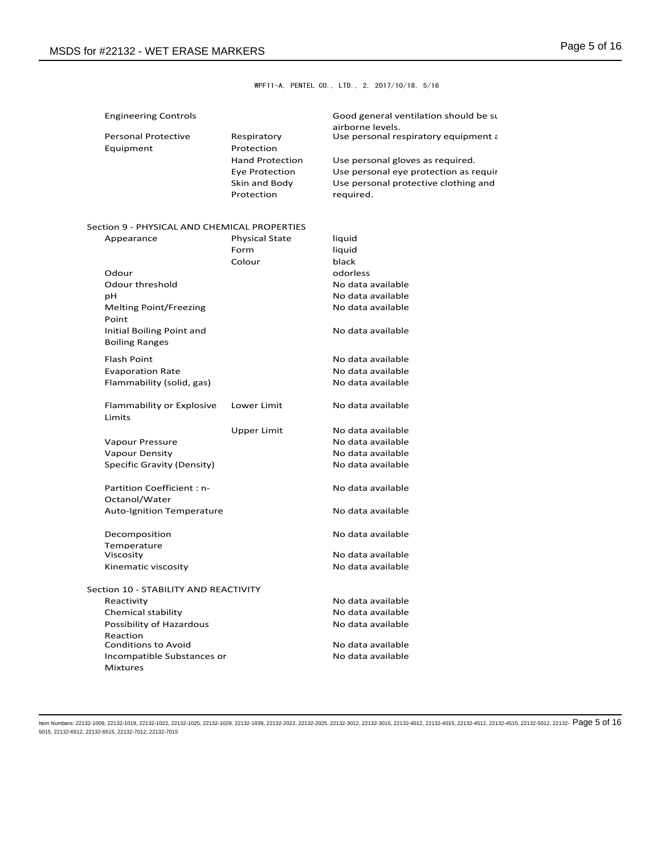WPF11-A, PENTEL CO., LTD., 2, 2017/10/18, 5/16

| <b>Engineering Controls</b> |  |  |  |  |
|-----------------------------|--|--|--|--|
|-----------------------------|--|--|--|--|

| <b>Engineering Controls</b> |                        | Good general ventilation should be su<br>airborne levels. |
|-----------------------------|------------------------|-----------------------------------------------------------|
| <b>Personal Protective</b>  | Respiratory            | Use personal respiratory equipment a                      |
| Equipment                   | Protection             |                                                           |
|                             | <b>Hand Protection</b> | Use personal gloves as required.                          |
|                             | Eye Protection         | Use personal eye protection as requir                     |
|                             | Skin and Body          | Use personal protective clothing and                      |
|                             | Protection             | required.                                                 |

## Section 9 - PHYSICAL AND CHEMICAL PROPERTIES

| Appearance                            | <b>Physical State</b> | liquid            |
|---------------------------------------|-----------------------|-------------------|
|                                       | Form                  | liquid            |
|                                       | Colour                | black             |
| Odour                                 |                       | odorless          |
| Odour threshold                       |                       | No data available |
| pН                                    |                       | No data available |
| <b>Melting Point/Freezing</b>         |                       | No data available |
| Point                                 |                       |                   |
| Initial Boiling Point and             |                       | No data available |
| <b>Boiling Ranges</b>                 |                       |                   |
| <b>Flash Point</b>                    |                       | No data available |
| <b>Evaporation Rate</b>               |                       | No data available |
| Flammability (solid, gas)             |                       | No data available |
|                                       |                       |                   |
| Flammability or Explosive             | Lower Limit           | No data available |
| Limits                                |                       |                   |
|                                       | <b>Upper Limit</b>    | No data available |
| Vapour Pressure                       |                       | No data available |
| <b>Vapour Density</b>                 |                       | No data available |
| Specific Gravity (Density)            |                       | No data available |
|                                       |                       |                   |
| <b>Partition Coefficient: n-</b>      |                       | No data available |
| Octanol/Water                         |                       |                   |
| <b>Auto-Ignition Temperature</b>      |                       | No data available |
|                                       |                       |                   |
| Decomposition                         |                       | No data available |
| Temperature                           |                       |                   |
| Viscosity                             |                       | No data available |
| Kinematic viscosity                   |                       | No data available |
| Section 10 - STABILITY AND REACTIVITY |                       |                   |
| Reactivity                            |                       | No data available |
| Chemical stability                    |                       | No data available |
| Possibility of Hazardous              |                       | No data available |
| Reaction                              |                       |                   |
| <b>Conditions to Avoid</b>            |                       | No data available |
| Incompatible Substances or            |                       | No data available |
| Mixtures                              |                       |                   |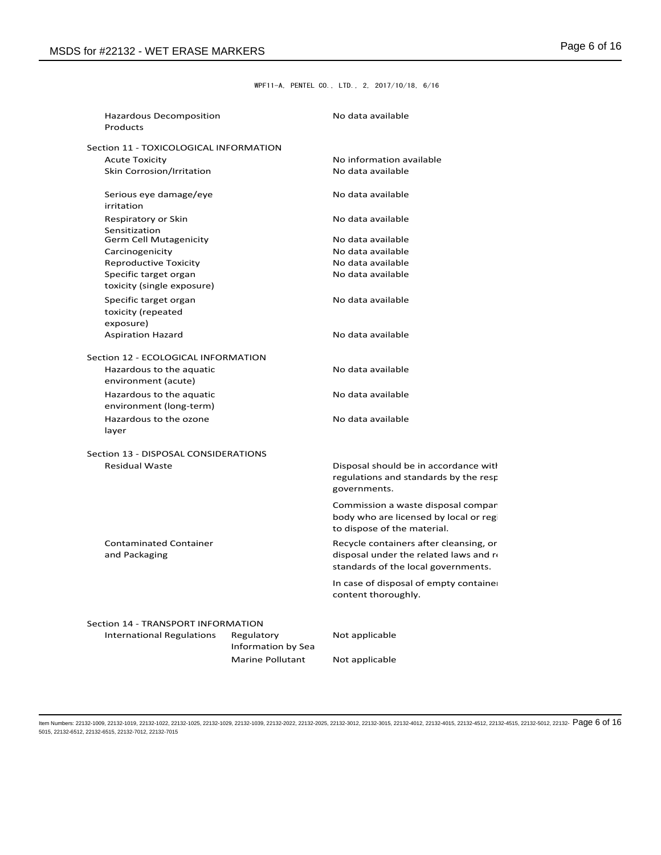WPF11-A, PENTEL CO., LTD., 2, 2017/10/18, 6/16

| Hazardous Decomposition<br>Products    |                         | No data available                                                           |  |  |
|----------------------------------------|-------------------------|-----------------------------------------------------------------------------|--|--|
| Section 11 - TOXICOLOGICAL INFORMATION |                         |                                                                             |  |  |
| <b>Acute Toxicity</b>                  |                         | No information available                                                    |  |  |
| Skin Corrosion/Irritation              |                         | No data available                                                           |  |  |
|                                        |                         |                                                                             |  |  |
| Serious eye damage/eye                 |                         | No data available                                                           |  |  |
| irritation                             |                         |                                                                             |  |  |
| Respiratory or Skin                    |                         | No data available                                                           |  |  |
| Sensitization                          |                         |                                                                             |  |  |
| <b>Germ Cell Mutagenicity</b>          |                         | No data available                                                           |  |  |
| Carcinogenicity                        |                         | No data available                                                           |  |  |
| <b>Reproductive Toxicity</b>           |                         | No data available                                                           |  |  |
| Specific target organ                  |                         | No data available                                                           |  |  |
| toxicity (single exposure)             |                         |                                                                             |  |  |
| Specific target organ                  |                         | No data available                                                           |  |  |
| toxicity (repeated                     |                         |                                                                             |  |  |
| exposure)                              |                         |                                                                             |  |  |
| <b>Aspiration Hazard</b>               |                         | No data available                                                           |  |  |
| Section 12 - ECOLOGICAL INFORMATION    |                         |                                                                             |  |  |
| Hazardous to the aquatic               |                         | No data available                                                           |  |  |
| environment (acute)                    |                         |                                                                             |  |  |
|                                        |                         |                                                                             |  |  |
| Hazardous to the aquatic               |                         | No data available                                                           |  |  |
| environment (long-term)                |                         |                                                                             |  |  |
| Hazardous to the ozone                 |                         | No data available                                                           |  |  |
| layer                                  |                         |                                                                             |  |  |
| Section 13 - DISPOSAL CONSIDERATIONS   |                         |                                                                             |  |  |
| <b>Residual Waste</b>                  |                         | Disposal should be in accordance with                                       |  |  |
|                                        |                         | regulations and standards by the resp                                       |  |  |
|                                        |                         | governments.                                                                |  |  |
|                                        |                         |                                                                             |  |  |
|                                        |                         | Commission a waste disposal compar<br>body who are licensed by local or reg |  |  |
|                                        |                         | to dispose of the material.                                                 |  |  |
|                                        |                         |                                                                             |  |  |
| <b>Contaminated Container</b>          |                         | Recycle containers after cleansing, or                                      |  |  |
| and Packaging                          |                         | disposal under the related laws and n                                       |  |  |
|                                        |                         | standards of the local governments.                                         |  |  |
|                                        |                         | In case of disposal of empty containe                                       |  |  |
|                                        |                         | content thoroughly.                                                         |  |  |
|                                        |                         |                                                                             |  |  |
| Section 14 - TRANSPORT INFORMATION     |                         |                                                                             |  |  |
| <b>International Regulations</b>       | Regulatory              | Not applicable                                                              |  |  |
|                                        | Information by Sea      |                                                                             |  |  |
|                                        | <b>Marine Pollutant</b> | Not applicable                                                              |  |  |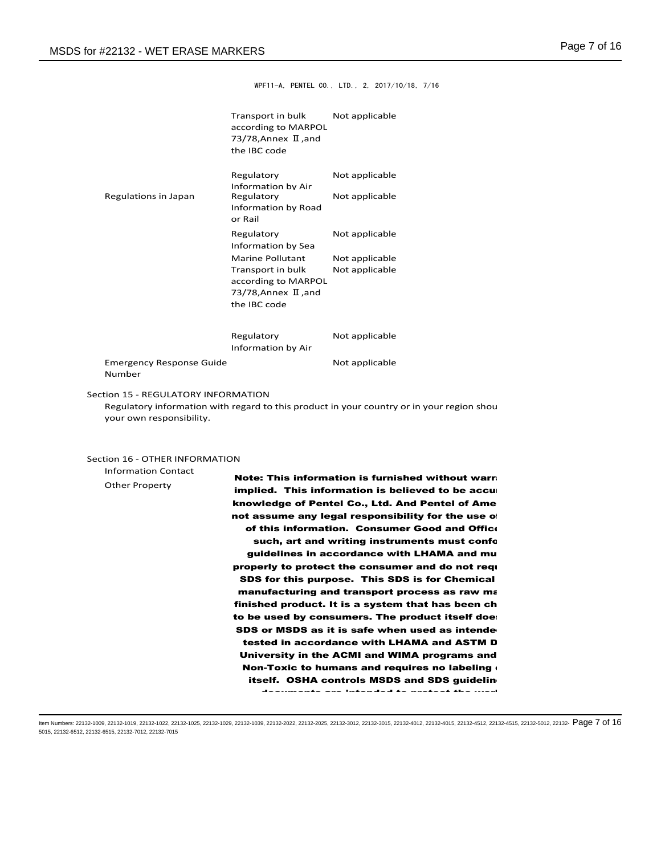WPF11-A, PENTEL CO., LTD., 2, 2017/10/18, 7/16

|                                                                 | Transport in bulk<br>according to MARPOL<br>73/78, Annex $\text{II}$ , and<br>the IBC code                           | Not applicable                                                                            |
|-----------------------------------------------------------------|----------------------------------------------------------------------------------------------------------------------|-------------------------------------------------------------------------------------------|
| Regulations in Japan                                            | Regulatory<br>Information by Air<br>Regulatory<br>Information by Road<br>or Rail                                     | Not applicable<br>Not applicable                                                          |
|                                                                 | Regulatory<br>Information by Sea                                                                                     | Not applicable                                                                            |
|                                                                 | <b>Marine Pollutant</b><br>Transport in bulk<br>according to MARPOL<br>73/78, Annex $\text{I}$ , and<br>the IBC code | Not applicable<br>Not applicable                                                          |
|                                                                 | Regulatory<br>Information by Air                                                                                     | Not applicable                                                                            |
| <b>Emergency Response Guide</b><br>Number                       |                                                                                                                      | Not applicable                                                                            |
| Section 15 - REGULATORY INFORMATION<br>your own responsibility. |                                                                                                                      | Regulatory information with regard to this product in your country or in your region shou |
| Section 16 - OTHER INFORMATION<br><b>Information Contact</b>    |                                                                                                                      | Nato: Thio information in furniched witho                                                 |

Other Property

Note: This information is furnished without warra implied. This information is believed to be accu knowledge of Pentel Co., Ltd. And Pentel of Ame not assume any legal responsibility for the use of of this information. Consumer Good and Office such, art and writing instruments must confo guidelines in accordance with LHAMA and mu properly to protect the consumer and do not requ SDS for this purpose. This SDS is for Chemical manufacturing and transport process as raw materials not the materials nonfinished product. It is a system that has been ch to be used by consumers. The product itself doe: SDS or MSDS as it is safe when used as intende tested in accordance with LHAMA and ASTM D University in the ACMI and WIMA programs and Non-Toxic to humans and requires no labeling  $\epsilon$ itself. OSHA controls MSDS and SDS guideline documents are intended to protect the workers in the

manufacture processes to create the process to create the process themselves. The process themselves themselves ltem Numbers: 22132-1009, 22132-1019, 22132-1022, 22132-1025, 22132-1029, 22132-2039, 22132-2022, 22132-2025, 22132-3012, 22132-3015, 22132-4012, 22132-4015, 22132-4512, 22132-4515, 22132-5012, 22132-  $\mathsf{Page\,7\,0f\,16}$ 5015, 22132-6512, 22132-6515, 22132-7012, 22132-7015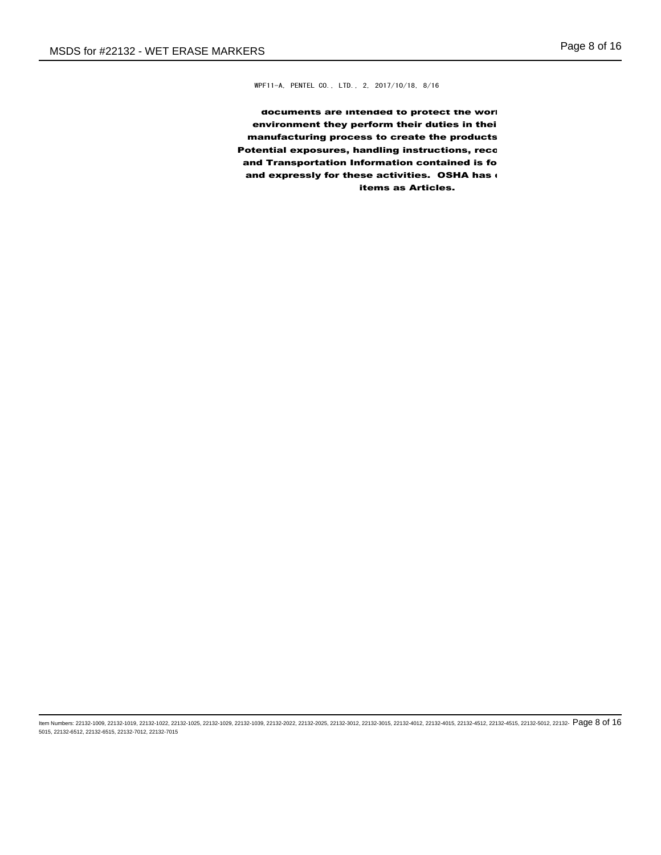WPF11-A, PENTEL CO., LTD., 2, 2017/10/18, 8/16

documents are intended to protect the work environment they perform their duties in thei manufacturing process to create the products Potential exposures, handling instructions, reco and Transportation Information contained is fo and expressly for these activities. OSHA has items as Articles.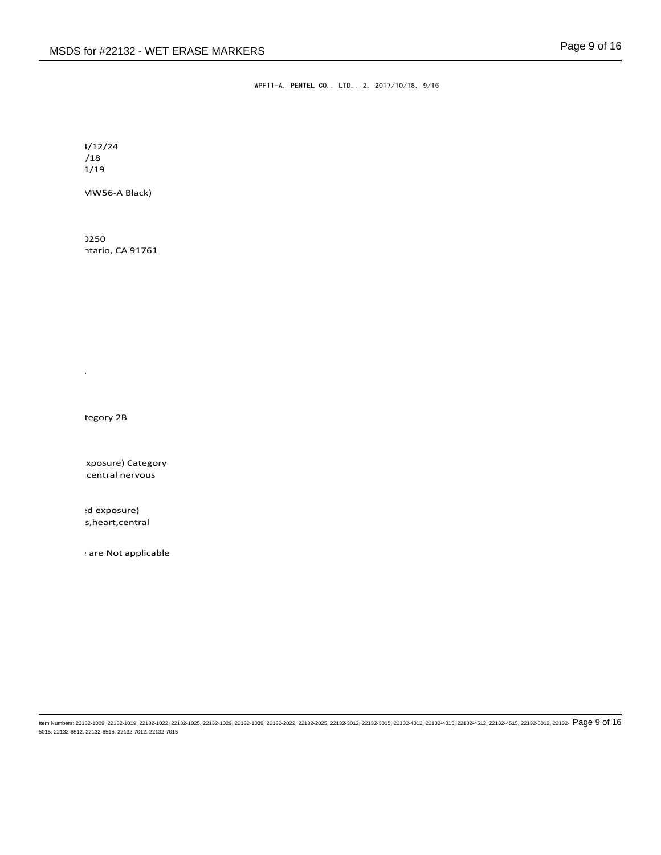WPF11-A, PENTEL CO., LTD., 2, 2017/10/18, 9/16

 $1/12/24$  $/18$  $1/19$ 

MW56-A Black)

ntario, CA 91761 0250

tegory 2B

Black Markers, SMW26-A.SMW56-A

xposure) Category central nervous

ed exposure) s,heart,central

: are Not applicable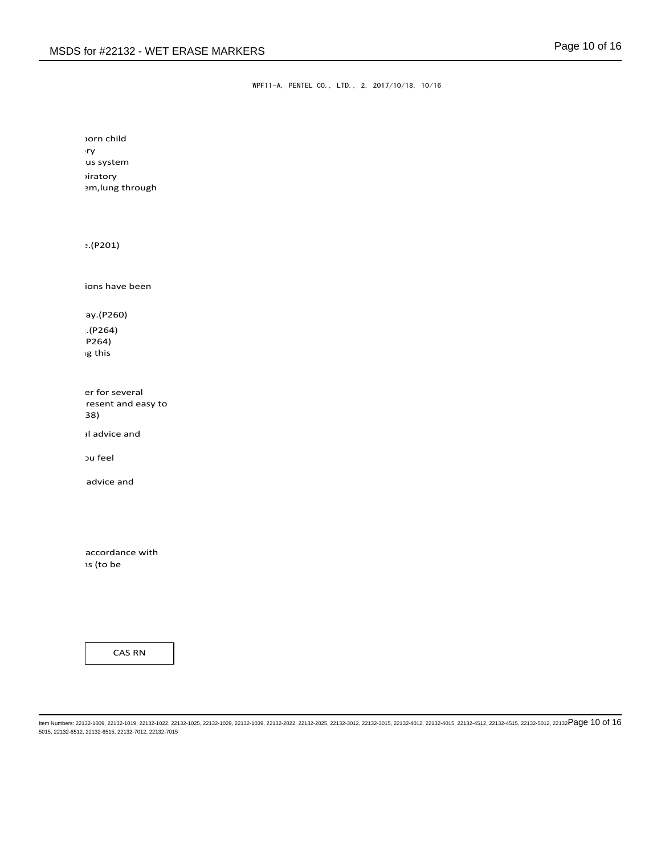WPF11-A, PENTEL CO., LTD., 2, 2017/10/18, 10/16

horn child H371 May 2013 us system diratory em, lung through

 $: (P201)$ 

ions have been

ay.(P260)

P264) g this  $H(P264)$ 

er for several resent and easy to do. Continue  $38$ 

I advice and

ou feel

advice and

accordance with ls (to be

CAS RN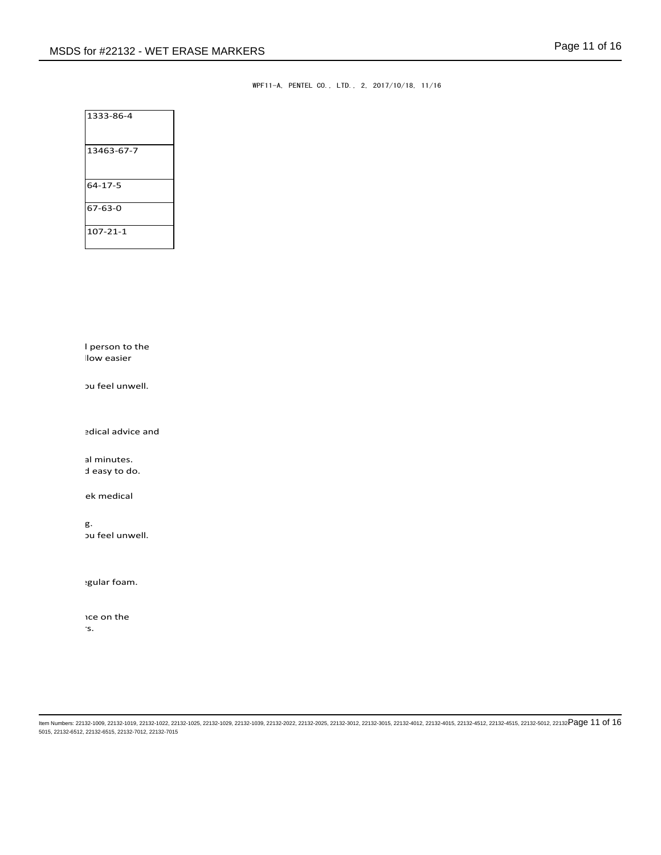WPF11-A, PENTEL CO., LTD., 2, 2017/10/18, 11/16

| 1333-86-4      |  |
|----------------|--|
| 13463-67-7     |  |
| 64-17-5        |  |
| 67-63-0        |  |
| $107 - 21 - 1$ |  |

I person to the llow easier

ou feel unwell.

edical advice and

al minutes. d easy to do.

ek medical

ou feel unwell. Rinse mouth. Do NOT induce vomiting.

gular foam.

ice on the environment by discharging into rivers.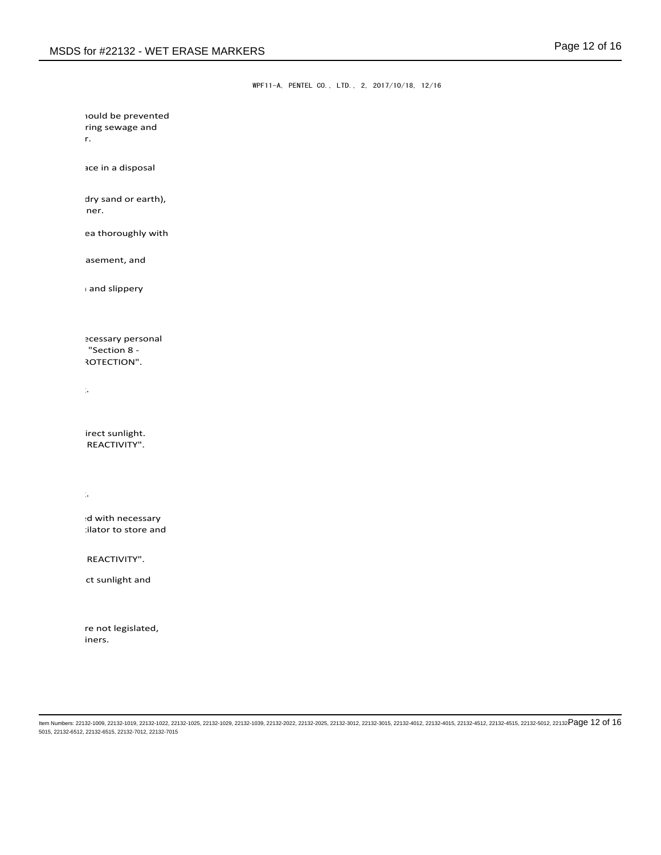WPF11-A, PENTEL CO., LTD., 2, 2017/10/18, 12/16

ct sunlight and irect sunlight. REACTIVITY". Wash hand thoroughly after handling. ed with necessary : ilator to store and REACTIVITY". ea thoroughly with asement, and  $\overline{\phantom{a}}$  and slippery Provide versonal "Section 8 -ROTECTION". Wash hand thoroughly after handling. **nould be prevented** ring sewage and drainage systems and bodies of water. ace in a disposal dry sand or earth),  $t$ then place in a chemical waste container.

re not legislated,

iners.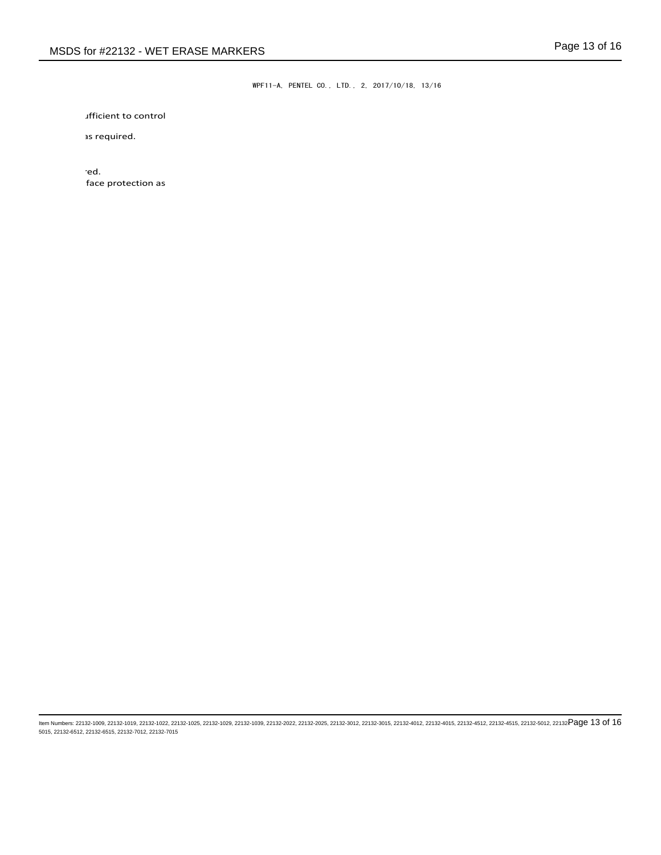WPF11-A, PENTEL CO., LTD., 2, 2017/10/18, 13/16

*deficient to control* 

1s required.

 $\mathbb{P}^{\mathsf{C}}$  personal execution as  $\mathsf{red}.$ face protection as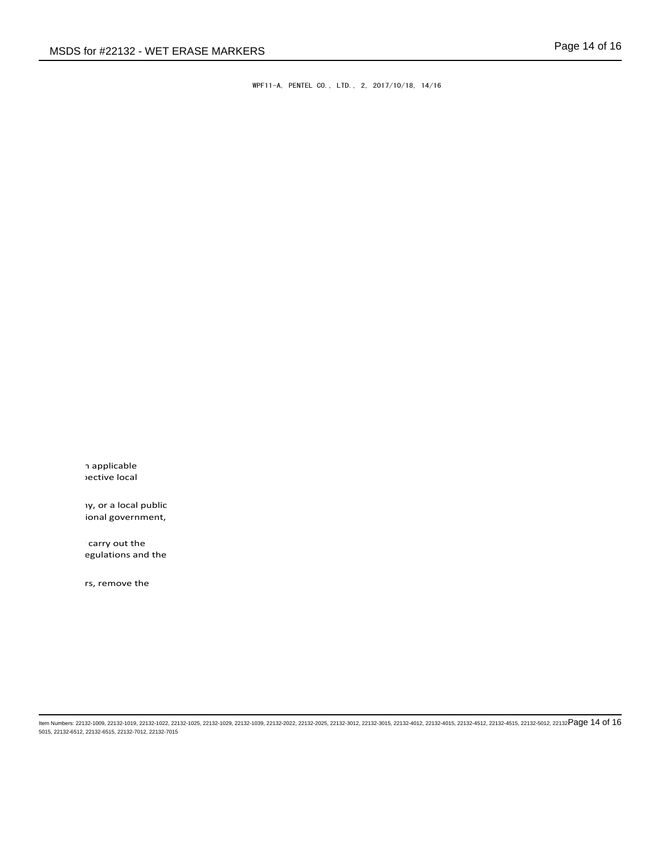WPF11-A, PENTEL CO., LTD., 2, 2017/10/18, 14/16

h applicable rective local

**iy, or a local public** ional government,

carry out the egulations and the

rs, remove the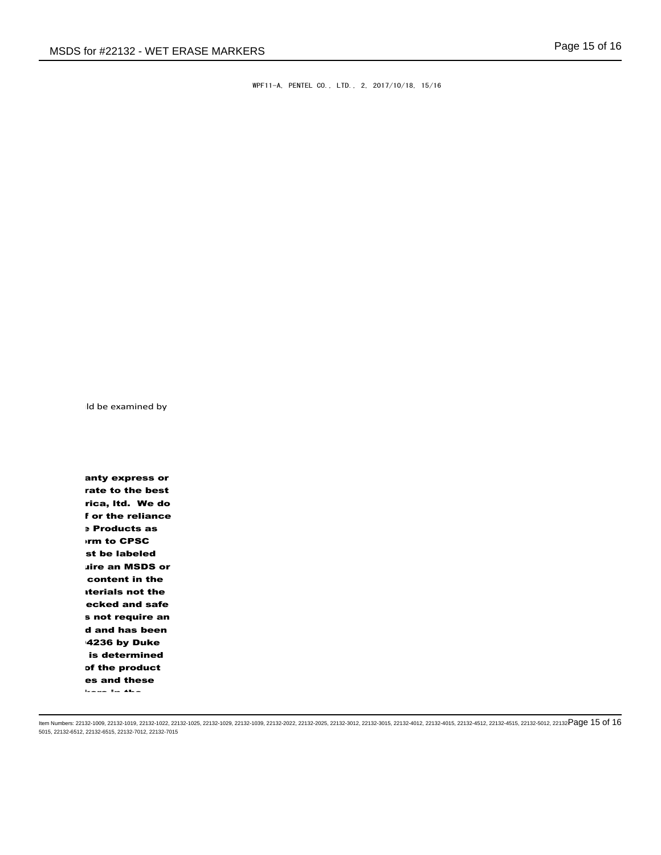WPF11-A, PENTEL CO., LTD., 2, 2017/10/18, 15/16

Id be examined by

anty express or rate to the best rica, Itd. We do f or the reliance **Products as urm to CPSC** st be labeled uire an MSDS or content in the **aterials not the** ecked and safe s not require an d and has been 4236 by Duke is determined of the product es and these documents are interested to protect the  $\alpha$ 

manufacturing process to create the products themselves. Item Numbers: 22132-1009, 22132-1019, 22132-1022, 22132-1025, 22132-1029, 22132-1039, 22132-2022, 22132-2025, 22132-3012, 22132-3015, 22132-4012, 22132-4015, 22132-4512, 22132-4515, 22132-5012, 22132- Page 15 of 165015, 22132-6512, 22132-6515, 22132-7012, 22132-7015